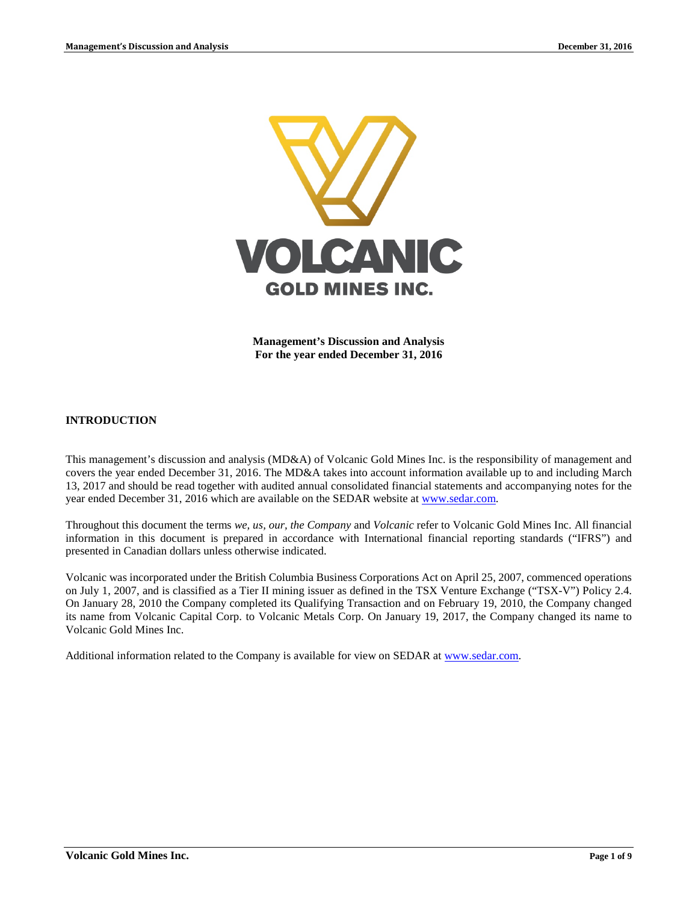

**Management's Discussion and Analysis For the year ended December 31, 2016**

## **INTRODUCTION**

This management's discussion and analysis (MD&A) of Volcanic Gold Mines Inc. is the responsibility of management and covers the year ended December 31, 2016. The MD&A takes into account information available up to and including March 13, 2017 and should be read together with audited annual consolidated financial statements and accompanying notes for the year ended December 31, 2016 which are available on the SEDAR website at [www.sedar.com.](http://www.sedar.com/)

Throughout this document the terms *we, us, our, the Company* and *Volcanic* refer to Volcanic Gold Mines Inc. All financial information in this document is prepared in accordance with International financial reporting standards ("IFRS") and presented in Canadian dollars unless otherwise indicated.

Volcanic was incorporated under the British Columbia Business Corporations Act on April 25, 2007, commenced operations on July 1, 2007, and is classified as a Tier II mining issuer as defined in the TSX Venture Exchange ("TSX-V") Policy 2.4. On January 28, 2010 the Company completed its Qualifying Transaction and on February 19, 2010, the Company changed its name from Volcanic Capital Corp. to Volcanic Metals Corp. On January 19, 2017, the Company changed its name to Volcanic Gold Mines Inc.

Additional information related to the Company is available for view on SEDAR at [www.sedar.com.](http://www.sedar.com/)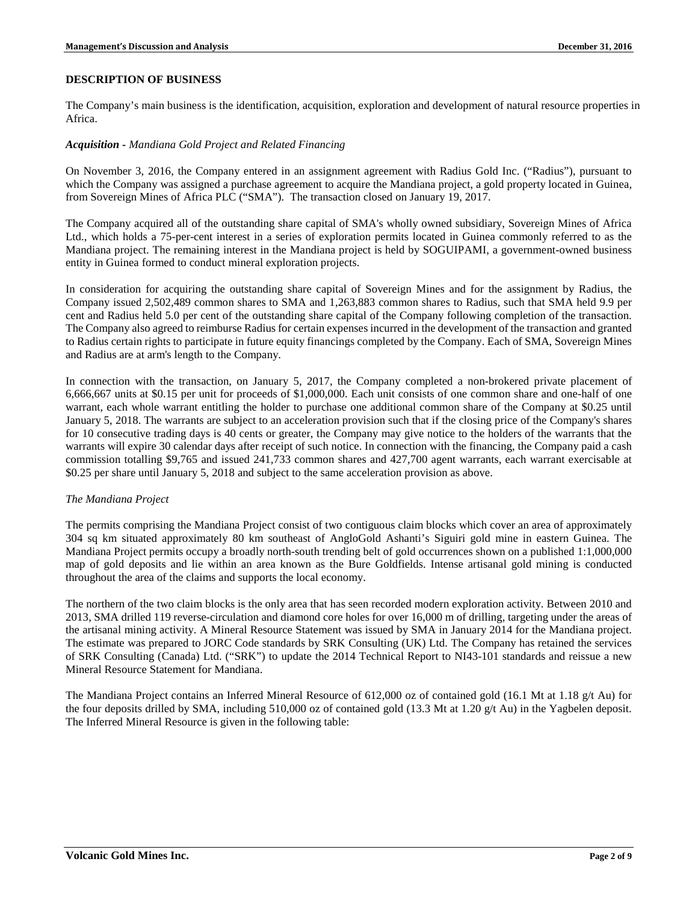## **DESCRIPTION OF BUSINESS**

The Company's main business is the identification, acquisition, exploration and development of natural resource properties in Africa.

## *Acquisition - Mandiana Gold Project and Related Financing*

On November 3, 2016, the Company entered in an assignment agreement with Radius Gold Inc. ("Radius"), pursuant to which the Company was assigned a purchase agreement to acquire the Mandiana project, a gold property located in Guinea, from Sovereign Mines of Africa PLC ("SMA"). The transaction closed on January 19, 2017.

The Company acquired all of the outstanding share capital of SMA's wholly owned subsidiary, Sovereign Mines of Africa Ltd., which holds a 75-per-cent interest in a series of exploration permits located in Guinea commonly referred to as the Mandiana project. The remaining interest in the Mandiana project is held by SOGUIPAMI, a government-owned business entity in Guinea formed to conduct mineral exploration projects.

In consideration for acquiring the outstanding share capital of Sovereign Mines and for the assignment by Radius, the Company issued 2,502,489 common shares to SMA and 1,263,883 common shares to Radius, such that SMA held 9.9 per cent and Radius held 5.0 per cent of the outstanding share capital of the Company following completion of the transaction. The Company also agreed to reimburse Radius for certain expenses incurred in the development of the transaction and granted to Radius certain rights to participate in future equity financings completed by the Company. Each of SMA, Sovereign Mines and Radius are at arm's length to the Company.

In connection with the transaction, on January 5, 2017, the Company completed a non-brokered private placement of 6,666,667 units at \$0.15 per unit for proceeds of \$1,000,000. Each unit consists of one common share and one-half of one warrant, each whole warrant entitling the holder to purchase one additional common share of the Company at \$0.25 until January 5, 2018. The warrants are subject to an acceleration provision such that if the closing price of the Company's shares for 10 consecutive trading days is 40 cents or greater, the Company may give notice to the holders of the warrants that the warrants will expire 30 calendar days after receipt of such notice. In connection with the financing, the Company paid a cash commission totalling \$9,765 and issued 241,733 common shares and 427,700 agent warrants, each warrant exercisable at \$0.25 per share until January 5, 2018 and subject to the same acceleration provision as above.

## *The Mandiana Project*

The permits comprising the Mandiana Project consist of two contiguous claim blocks which cover an area of approximately 304 sq km situated approximately 80 km southeast of AngloGold Ashanti's Siguiri gold mine in eastern Guinea. The Mandiana Project permits occupy a broadly north-south trending belt of gold occurrences shown on a published 1:1,000,000 map of gold deposits and lie within an area known as the Bure Goldfields. Intense artisanal gold mining is conducted throughout the area of the claims and supports the local economy.

The northern of the two claim blocks is the only area that has seen recorded modern exploration activity. Between 2010 and 2013, SMA drilled 119 reverse-circulation and diamond core holes for over 16,000 m of drilling, targeting under the areas of the artisanal mining activity. A Mineral Resource Statement was issued by SMA in January 2014 for the Mandiana project. The estimate was prepared to JORC Code standards by SRK Consulting (UK) Ltd. The Company has retained the services of SRK Consulting (Canada) Ltd. ("SRK") to update the 2014 Technical Report to NI43-101 standards and reissue a new Mineral Resource Statement for Mandiana.

The Mandiana Project contains an Inferred Mineral Resource of 612,000 oz of contained gold (16.1 Mt at 1.18 g/t Au) for the four deposits drilled by SMA, including 510,000 oz of contained gold (13.3 Mt at 1.20 g/t Au) in the Yagbelen deposit. The Inferred Mineral Resource is given in the following table: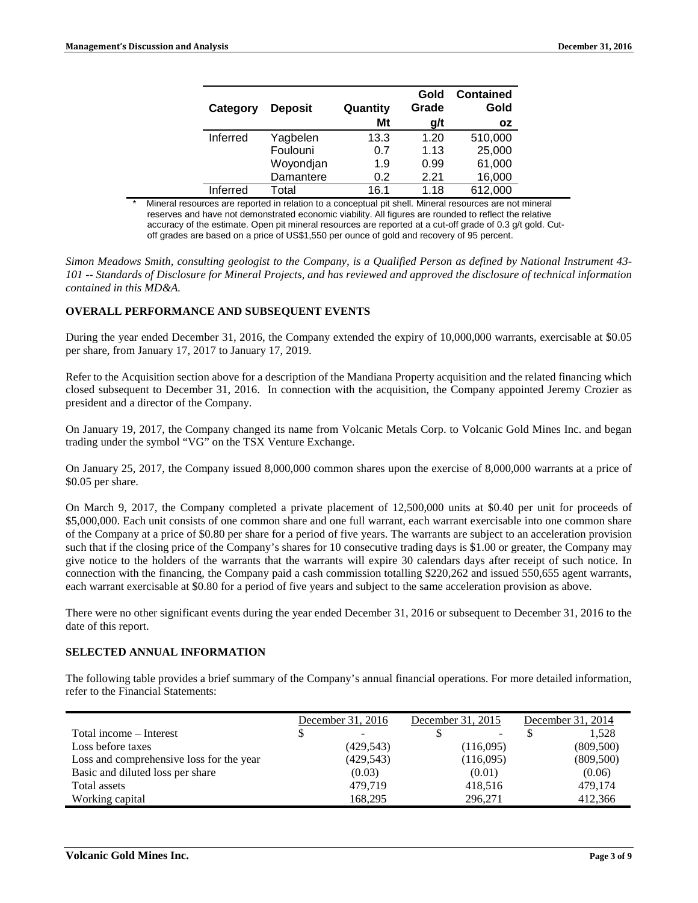| <b>Deposit</b><br>Category |           | Quantity | Gold<br>Grade | <b>Contained</b><br>Gold |
|----------------------------|-----------|----------|---------------|--------------------------|
|                            |           | Mt       | g/t           | <b>OZ</b>                |
| Inferred                   | Yagbelen  | 13.3     | 1.20          | 510,000                  |
|                            | Foulouni  | 0.7      | 1.13          | 25,000                   |
|                            | Woyondjan | 1.9      | 0.99          | 61,000                   |
|                            | Damantere | 0.2      | 2.21          | 16,000                   |
| Inferred                   | Total     | 16.1     | 1.18          | 612,000                  |

Mineral resources are reported in relation to a conceptual pit shell. Mineral resources are not mineral reserves and have not demonstrated economic viability. All figures are rounded to reflect the relative accuracy of the estimate. Open pit mineral resources are reported at a cut-off grade of 0.3 g/t gold. Cutoff grades are based on a price of US\$1,550 per ounce of gold and recovery of 95 percent.

*Simon Meadows Smith, consulting geologist to the Company, is a Qualified Person as defined by National Instrument 43- 101 -- Standards of Disclosure for Mineral Projects, and has reviewed and approved the disclosure of technical information contained in this MD&A.*

### **OVERALL PERFORMANCE AND SUBSEQUENT EVENTS**

During the year ended December 31, 2016, the Company extended the expiry of 10,000,000 warrants, exercisable at \$0.05 per share, from January 17, 2017 to January 17, 2019.

Refer to the Acquisition section above for a description of the Mandiana Property acquisition and the related financing which closed subsequent to December 31, 2016. In connection with the acquisition, the Company appointed Jeremy Crozier as president and a director of the Company.

On January 19, 2017, the Company changed its name from Volcanic Metals Corp. to Volcanic Gold Mines Inc. and began trading under the symbol "VG" on the TSX Venture Exchange.

On January 25, 2017, the Company issued 8,000,000 common shares upon the exercise of 8,000,000 warrants at a price of \$0.05 per share.

On March 9, 2017, the Company completed a private placement of 12,500,000 units at \$0.40 per unit for proceeds of \$5,000,000. Each unit consists of one common share and one full warrant, each warrant exercisable into one common share of the Company at a price of \$0.80 per share for a period of five years. The warrants are subject to an acceleration provision such that if the closing price of the Company's shares for 10 consecutive trading days is \$1.00 or greater, the Company may give notice to the holders of the warrants that the warrants will expire 30 calendars days after receipt of such notice. In connection with the financing, the Company paid a cash commission totalling \$220,262 and issued 550,655 agent warrants, each warrant exercisable at \$0.80 for a period of five years and subject to the same acceleration provision as above.

There were no other significant events during the year ended December 31, 2016 or subsequent to December 31, 2016 to the date of this report.

## **SELECTED ANNUAL INFORMATION**

The following table provides a brief summary of the Company's annual financial operations. For more detailed information, refer to the Financial Statements:

|                                          | December 31, 2016 |                          | December 31, 2015 |           | December 31, 2014 |
|------------------------------------------|-------------------|--------------------------|-------------------|-----------|-------------------|
| Total income – Interest                  |                   | $\overline{\phantom{a}}$ |                   | -         | 1.528             |
| Loss before taxes                        |                   | (429, 543)               |                   | (116,095) | (809,500)         |
| Loss and comprehensive loss for the year |                   | (429, 543)               |                   | (116,095) | (809,500)         |
| Basic and diluted loss per share         |                   | (0.03)                   |                   | (0.01)    | (0.06)            |
| Total assets                             |                   | 479.719                  |                   | 418,516   | 479,174           |
| Working capital                          |                   | 168,295                  |                   | 296,271   | 412,366           |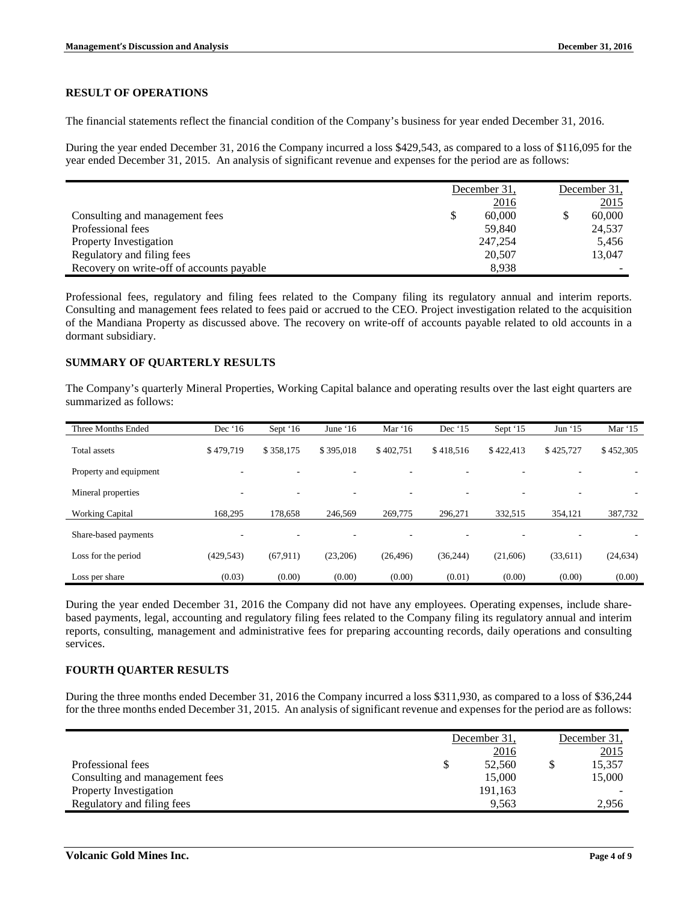### **RESULT OF OPERATIONS**

The financial statements reflect the financial condition of the Company's business for year ended December 31, 2016.

During the year ended December 31, 2016 the Company incurred a loss \$429,543, as compared to a loss of \$116,095 for the year ended December 31, 2015. An analysis of significant revenue and expenses for the period are as follows:

|                                           | December 31. |         | December 31. |        |
|-------------------------------------------|--------------|---------|--------------|--------|
|                                           |              | 2016    |              | 2015   |
| Consulting and management fees            | S            | 60,000  |              | 60,000 |
| Professional fees                         |              | 59.840  |              | 24,537 |
| Property Investigation                    |              | 247,254 |              | 5,456  |
| Regulatory and filing fees                |              | 20,507  |              | 13,047 |
| Recovery on write-off of accounts payable |              | 8,938   |              |        |

Professional fees, regulatory and filing fees related to the Company filing its regulatory annual and interim reports. Consulting and management fees related to fees paid or accrued to the CEO. Project investigation related to the acquisition of the Mandiana Property as discussed above. The recovery on write-off of accounts payable related to old accounts in a dormant subsidiary.

### **SUMMARY OF QUARTERLY RESULTS**

The Company's quarterly Mineral Properties, Working Capital balance and operating results over the last eight quarters are summarized as follows:

| Three Months Ended     | Dec $16$   | Sept $16$ | June $16$ | Mar $16$                 | Dec $15$  | Sept '15  | Jun $15$                 | Mar $15$  |
|------------------------|------------|-----------|-----------|--------------------------|-----------|-----------|--------------------------|-----------|
| <b>Total assets</b>    | \$479,719  | \$358,175 | \$395,018 | \$402.751                | \$418,516 | \$422,413 | \$425,727                | \$452,305 |
| Property and equipment | ۰          |           | ۰         | -                        |           | ۰         | ۰                        |           |
| Mineral properties     | ۰          | ٠         | ۰         | $\overline{\phantom{a}}$ | ۰         | ٠         | $\overline{\phantom{a}}$ |           |
| <b>Working Capital</b> | 168,295    | 178,658   | 246,569   | 269,775                  | 296,271   | 332,515   | 354,121                  | 387,732   |
| Share-based payments   | ۰          | ٠         | ۰         | -                        | ۰         |           | -                        |           |
| Loss for the period    | (429, 543) | (67, 911) | (23,206)  | (26, 496)                | (36, 244) | (21,606)  | (33,611)                 | (24, 634) |
| Loss per share         | (0.03)     | (0.00)    | (0.00)    | (0.00)                   | (0.01)    | (0.00)    | (0.00)                   | (0.00)    |

During the year ended December 31, 2016 the Company did not have any employees. Operating expenses, include sharebased payments, legal, accounting and regulatory filing fees related to the Company filing its regulatory annual and interim reports, consulting, management and administrative fees for preparing accounting records, daily operations and consulting services.

### **FOURTH QUARTER RESULTS**

During the three months ended December 31, 2016 the Company incurred a loss \$311,930, as compared to a loss of \$36,244 for the three months ended December 31, 2015. An analysis of significant revenue and expenses for the period are as follows:

|                                |   | December 31. |  | December 31. |  |
|--------------------------------|---|--------------|--|--------------|--|
|                                |   | 2016         |  | 2015         |  |
| Professional fees              | S | 52,560       |  | 15,357       |  |
| Consulting and management fees |   | 15,000       |  | 15,000       |  |
| <b>Property Investigation</b>  |   | 191,163      |  |              |  |
| Regulatory and filing fees     |   | 9.563        |  | 2.956        |  |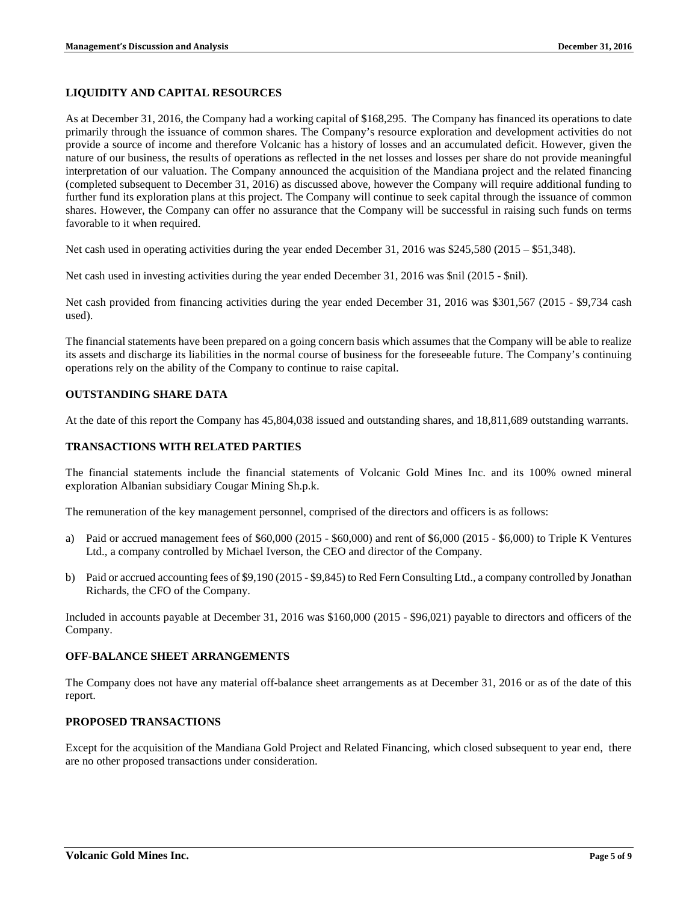### **LIQUIDITY AND CAPITAL RESOURCES**

As at December 31, 2016, the Company had a working capital of \$168,295. The Company has financed its operations to date primarily through the issuance of common shares. The Company's resource exploration and development activities do not provide a source of income and therefore Volcanic has a history of losses and an accumulated deficit. However, given the nature of our business, the results of operations as reflected in the net losses and losses per share do not provide meaningful interpretation of our valuation. The Company announced the acquisition of the Mandiana project and the related financing (completed subsequent to December 31, 2016) as discussed above, however the Company will require additional funding to further fund its exploration plans at this project. The Company will continue to seek capital through the issuance of common shares. However, the Company can offer no assurance that the Company will be successful in raising such funds on terms favorable to it when required.

Net cash used in operating activities during the year ended December 31, 2016 was \$245,580 (2015 – \$51,348).

Net cash used in investing activities during the year ended December 31, 2016 was \$nil (2015 - \$nil).

Net cash provided from financing activities during the year ended December 31, 2016 was \$301,567 (2015 - \$9,734 cash used).

The financial statements have been prepared on a going concern basis which assumes that the Company will be able to realize its assets and discharge its liabilities in the normal course of business for the foreseeable future. The Company's continuing operations rely on the ability of the Company to continue to raise capital.

### **OUTSTANDING SHARE DATA**

At the date of this report the Company has 45,804,038 issued and outstanding shares, and 18,811,689 outstanding warrants.

#### **TRANSACTIONS WITH RELATED PARTIES**

The financial statements include the financial statements of Volcanic Gold Mines Inc. and its 100% owned mineral exploration Albanian subsidiary Cougar Mining Sh.p.k.

The remuneration of the key management personnel, comprised of the directors and officers is as follows:

- a) Paid or accrued management fees of \$60,000 (2015 \$60,000) and rent of \$6,000 (2015 \$6,000) to Triple K Ventures Ltd., a company controlled by Michael Iverson, the CEO and director of the Company.
- b) Paid or accrued accounting fees of \$9,190 (2015 \$9,845) to Red Fern Consulting Ltd., a company controlled by Jonathan Richards, the CFO of the Company.

Included in accounts payable at December 31, 2016 was \$160,000 (2015 - \$96,021) payable to directors and officers of the Company.

#### **OFF-BALANCE SHEET ARRANGEMENTS**

The Company does not have any material off-balance sheet arrangements as at December 31, 2016 or as of the date of this report.

### **PROPOSED TRANSACTIONS**

Except for the acquisition of the Mandiana Gold Project and Related Financing, which closed subsequent to year end, there are no other proposed transactions under consideration.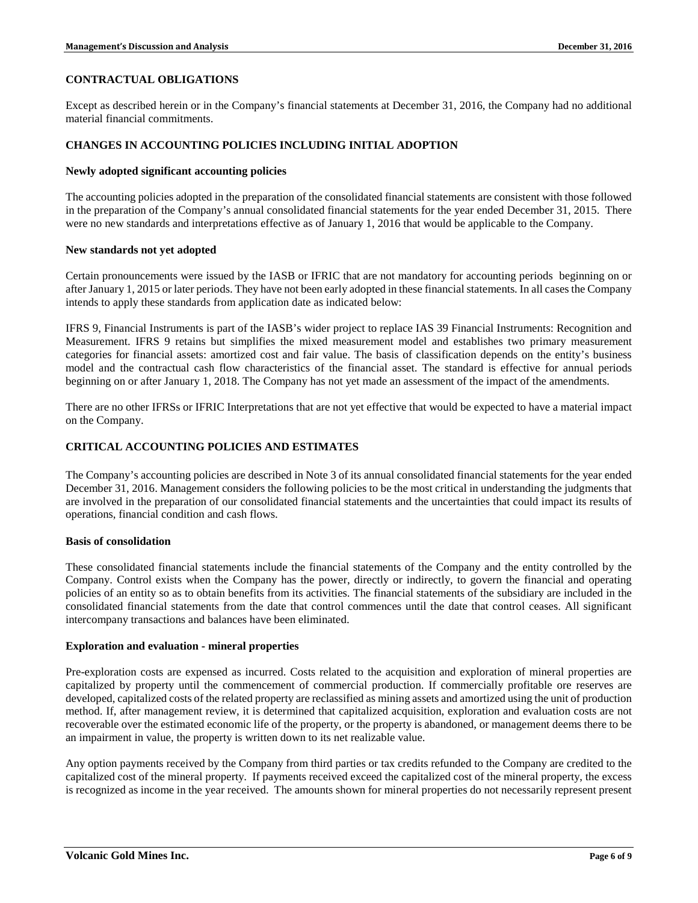# **CONTRACTUAL OBLIGATIONS**

Except as described herein or in the Company's financial statements at December 31, 2016, the Company had no additional material financial commitments.

## **CHANGES IN ACCOUNTING POLICIES INCLUDING INITIAL ADOPTION**

### **Newly adopted significant accounting policies**

The accounting policies adopted in the preparation of the consolidated financial statements are consistent with those followed in the preparation of the Company's annual consolidated financial statements for the year ended December 31, 2015. There were no new standards and interpretations effective as of January 1, 2016 that would be applicable to the Company.

#### **New standards not yet adopted**

Certain pronouncements were issued by the IASB or IFRIC that are not mandatory for accounting periods beginning on or after January 1, 2015 or later periods. They have not been early adopted in these financial statements. In all cases the Company intends to apply these standards from application date as indicated below:

IFRS 9, Financial Instruments is part of the IASB's wider project to replace IAS 39 Financial Instruments: Recognition and Measurement. IFRS 9 retains but simplifies the mixed measurement model and establishes two primary measurement categories for financial assets: amortized cost and fair value. The basis of classification depends on the entity's business model and the contractual cash flow characteristics of the financial asset. The standard is effective for annual periods beginning on or after January 1, 2018. The Company has not yet made an assessment of the impact of the amendments.

There are no other IFRSs or IFRIC Interpretations that are not yet effective that would be expected to have a material impact on the Company.

## **CRITICAL ACCOUNTING POLICIES AND ESTIMATES**

The Company's accounting policies are described in Note 3 of its annual consolidated financial statements for the year ended December 31, 2016. Management considers the following policies to be the most critical in understanding the judgments that are involved in the preparation of our consolidated financial statements and the uncertainties that could impact its results of operations, financial condition and cash flows.

#### **Basis of consolidation**

These consolidated financial statements include the financial statements of the Company and the entity controlled by the Company. Control exists when the Company has the power, directly or indirectly, to govern the financial and operating policies of an entity so as to obtain benefits from its activities. The financial statements of the subsidiary are included in the consolidated financial statements from the date that control commences until the date that control ceases. All significant intercompany transactions and balances have been eliminated.

#### **Exploration and evaluation - mineral properties**

Pre-exploration costs are expensed as incurred. Costs related to the acquisition and exploration of mineral properties are capitalized by property until the commencement of commercial production. If commercially profitable ore reserves are developed, capitalized costs of the related property are reclassified as mining assets and amortized using the unit of production method. If, after management review, it is determined that capitalized acquisition, exploration and evaluation costs are not recoverable over the estimated economic life of the property, or the property is abandoned, or management deems there to be an impairment in value, the property is written down to its net realizable value.

Any option payments received by the Company from third parties or tax credits refunded to the Company are credited to the capitalized cost of the mineral property. If payments received exceed the capitalized cost of the mineral property, the excess is recognized as income in the year received. The amounts shown for mineral properties do not necessarily represent present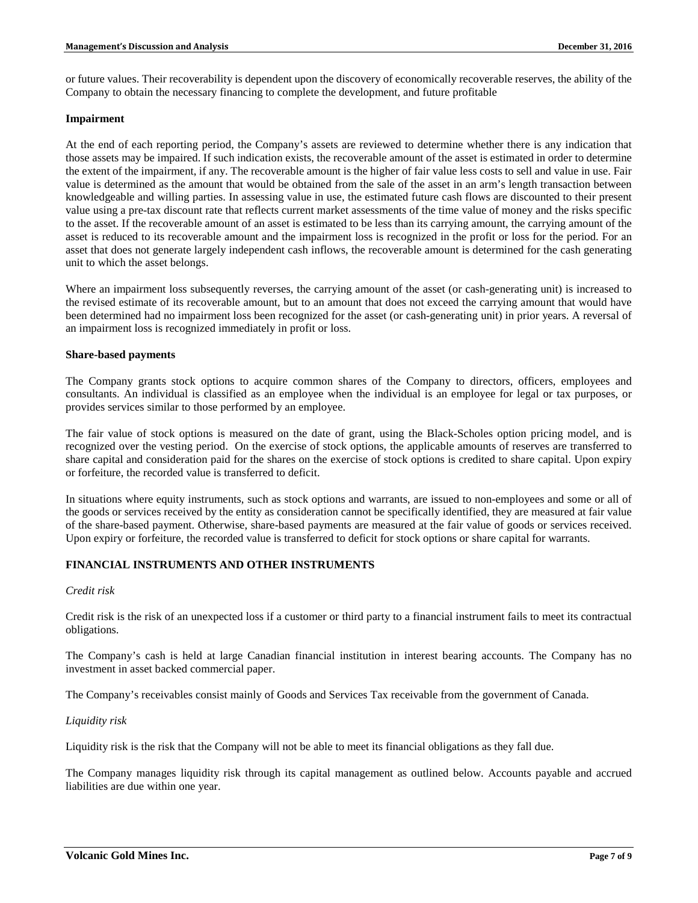or future values. Their recoverability is dependent upon the discovery of economically recoverable reserves, the ability of the Company to obtain the necessary financing to complete the development, and future profitable

### **Impairment**

At the end of each reporting period, the Company's assets are reviewed to determine whether there is any indication that those assets may be impaired. If such indication exists, the recoverable amount of the asset is estimated in order to determine the extent of the impairment, if any. The recoverable amount is the higher of fair value less costs to sell and value in use. Fair value is determined as the amount that would be obtained from the sale of the asset in an arm's length transaction between knowledgeable and willing parties. In assessing value in use, the estimated future cash flows are discounted to their present value using a pre-tax discount rate that reflects current market assessments of the time value of money and the risks specific to the asset. If the recoverable amount of an asset is estimated to be less than its carrying amount, the carrying amount of the asset is reduced to its recoverable amount and the impairment loss is recognized in the profit or loss for the period. For an asset that does not generate largely independent cash inflows, the recoverable amount is determined for the cash generating unit to which the asset belongs.

Where an impairment loss subsequently reverses, the carrying amount of the asset (or cash-generating unit) is increased to the revised estimate of its recoverable amount, but to an amount that does not exceed the carrying amount that would have been determined had no impairment loss been recognized for the asset (or cash-generating unit) in prior years. A reversal of an impairment loss is recognized immediately in profit or loss.

### **Share-based payments**

The Company grants stock options to acquire common shares of the Company to directors, officers, employees and consultants. An individual is classified as an employee when the individual is an employee for legal or tax purposes, or provides services similar to those performed by an employee.

The fair value of stock options is measured on the date of grant, using the Black-Scholes option pricing model, and is recognized over the vesting period. On the exercise of stock options, the applicable amounts of reserves are transferred to share capital and consideration paid for the shares on the exercise of stock options is credited to share capital. Upon expiry or forfeiture, the recorded value is transferred to deficit.

In situations where equity instruments, such as stock options and warrants, are issued to non-employees and some or all of the goods or services received by the entity as consideration cannot be specifically identified, they are measured at fair value of the share-based payment. Otherwise, share-based payments are measured at the fair value of goods or services received. Upon expiry or forfeiture, the recorded value is transferred to deficit for stock options or share capital for warrants.

## **FINANCIAL INSTRUMENTS AND OTHER INSTRUMENTS**

#### *Credit risk*

Credit risk is the risk of an unexpected loss if a customer or third party to a financial instrument fails to meet its contractual obligations.

The Company's cash is held at large Canadian financial institution in interest bearing accounts. The Company has no investment in asset backed commercial paper.

The Company's receivables consist mainly of Goods and Services Tax receivable from the government of Canada.

#### *Liquidity risk*

Liquidity risk is the risk that the Company will not be able to meet its financial obligations as they fall due.

The Company manages liquidity risk through its capital management as outlined below. Accounts payable and accrued liabilities are due within one year.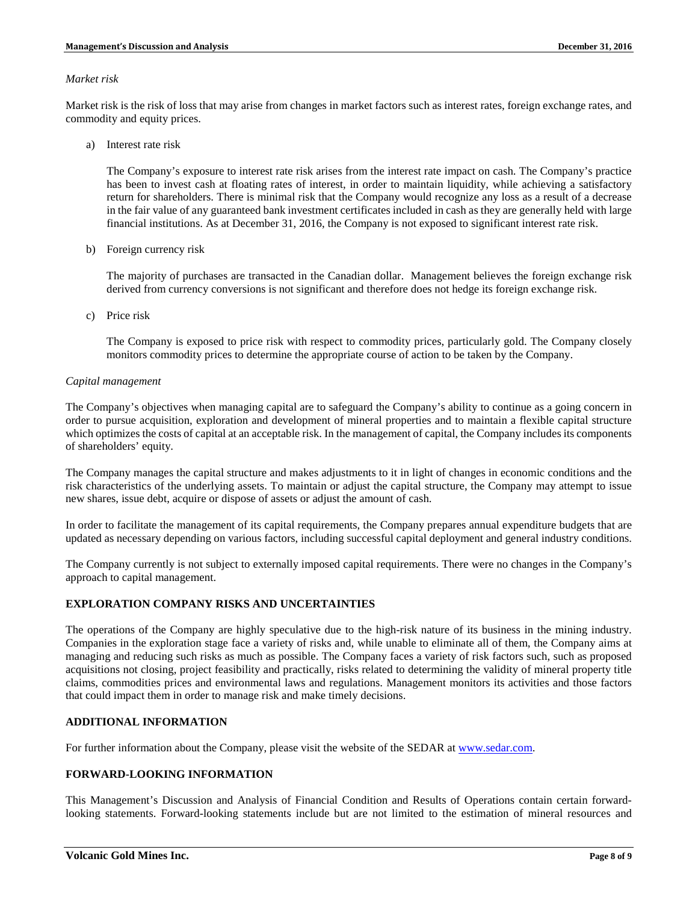#### *Market risk*

Market risk is the risk of loss that may arise from changes in market factors such as interest rates, foreign exchange rates, and commodity and equity prices.

a) Interest rate risk

The Company's exposure to interest rate risk arises from the interest rate impact on cash. The Company's practice has been to invest cash at floating rates of interest, in order to maintain liquidity, while achieving a satisfactory return for shareholders. There is minimal risk that the Company would recognize any loss as a result of a decrease in the fair value of any guaranteed bank investment certificates included in cash as they are generally held with large financial institutions. As at December 31, 2016, the Company is not exposed to significant interest rate risk.

b) Foreign currency risk

The majority of purchases are transacted in the Canadian dollar. Management believes the foreign exchange risk derived from currency conversions is not significant and therefore does not hedge its foreign exchange risk.

c) Price risk

The Company is exposed to price risk with respect to commodity prices, particularly gold. The Company closely monitors commodity prices to determine the appropriate course of action to be taken by the Company.

#### *Capital management*

The Company's objectives when managing capital are to safeguard the Company's ability to continue as a going concern in order to pursue acquisition, exploration and development of mineral properties and to maintain a flexible capital structure which optimizes the costs of capital at an acceptable risk. In the management of capital, the Company includes its components of shareholders' equity.

The Company manages the capital structure and makes adjustments to it in light of changes in economic conditions and the risk characteristics of the underlying assets. To maintain or adjust the capital structure, the Company may attempt to issue new shares, issue debt, acquire or dispose of assets or adjust the amount of cash.

In order to facilitate the management of its capital requirements, the Company prepares annual expenditure budgets that are updated as necessary depending on various factors, including successful capital deployment and general industry conditions.

The Company currently is not subject to externally imposed capital requirements. There were no changes in the Company's approach to capital management.

# **EXPLORATION COMPANY RISKS AND UNCERTAINTIES**

The operations of the Company are highly speculative due to the high-risk nature of its business in the mining industry. Companies in the exploration stage face a variety of risks and, while unable to eliminate all of them, the Company aims at managing and reducing such risks as much as possible. The Company faces a variety of risk factors such, such as proposed acquisitions not closing, project feasibility and practically, risks related to determining the validity of mineral property title claims, commodities prices and environmental laws and regulations. Management monitors its activities and those factors that could impact them in order to manage risk and make timely decisions.

## **ADDITIONAL INFORMATION**

For further information about the Company, please visit the website of the SEDAR at [www.sedar.com.](http://www.sedar.com/)

## **FORWARD-LOOKING INFORMATION**

This Management's Discussion and Analysis of Financial Condition and Results of Operations contain certain forwardlooking statements. Forward-looking statements include but are not limited to the estimation of mineral resources and